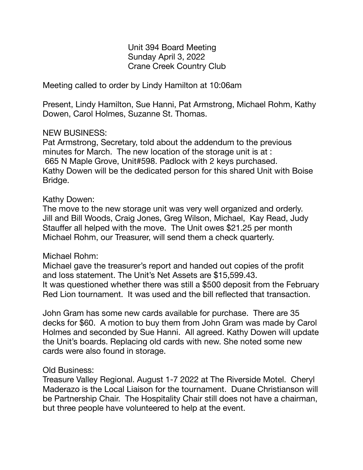Unit 394 Board Meeting Sunday April 3, 2022 Crane Creek Country Club

Meeting called to order by Lindy Hamilton at 10:06am

Present, Lindy Hamilton, Sue Hanni, Pat Armstrong, Michael Rohm, Kathy Dowen, Carol Holmes, Suzanne St. Thomas.

### NEW BUSINESS:

Pat Armstrong, Secretary, told about the addendum to the previous minutes for March. The new location of the storage unit is at : 665 N Maple Grove, Unit#598. Padlock with 2 keys purchased. Kathy Dowen will be the dedicated person for this shared Unit with Boise Bridge.

#### Kathy Dowen:

The move to the new storage unit was very well organized and orderly. Jill and Bill Woods, Craig Jones, Greg Wilson, Michael, Kay Read, Judy Stauffer all helped with the move. The Unit owes \$21.25 per month Michael Rohm, our Treasurer, will send them a check quarterly.

# Michael Rohm:

Michael gave the treasurer's report and handed out copies of the profit and loss statement. The Unit's Net Assets are \$15,599.43. It was questioned whether there was still a \$500 deposit from the February Red Lion tournament. It was used and the bill reflected that transaction.

John Gram has some new cards available for purchase. There are 35 decks for \$60. A motion to buy them from John Gram was made by Carol Holmes and seconded by Sue Hanni. All agreed. Kathy Dowen will update the Unit's boards. Replacing old cards with new. She noted some new cards were also found in storage.

# Old Business:

Treasure Valley Regional. August 1-7 2022 at The Riverside Motel. Cheryl Maderazo is the Local Liaison for the tournament. Duane Christianson will be Partnership Chair. The Hospitality Chair still does not have a chairman, but three people have volunteered to help at the event.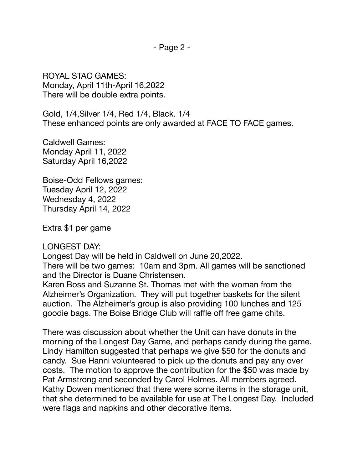ROYAL STAC GAMES: Monday, April 11th-April 16,2022 There will be double extra points.

Gold, 1/4,Silver 1/4, Red 1/4, Black. 1/4 These enhanced points are only awarded at FACE TO FACE games.

Caldwell Games: Monday April 11, 2022 Saturday April 16,2022

Boise-Odd Fellows games: Tuesday April 12, 2022 Wednesday 4, 2022 Thursday April 14, 2022

Extra \$1 per game

#### LONGEST DAY:

Longest Day will be held in Caldwell on June 20,2022.

There will be two games: 10am and 3pm. All games will be sanctioned and the Director is Duane Christensen.

Karen Boss and Suzanne St. Thomas met with the woman from the Alzheimer's Organization. They will put together baskets for the silent auction. The Alzheimer's group is also providing 100 lunches and 125 goodie bags. The Boise Bridge Club will raffle off free game chits.

There was discussion about whether the Unit can have donuts in the morning of the Longest Day Game, and perhaps candy during the game. Lindy Hamilton suggested that perhaps we give \$50 for the donuts and candy. Sue Hanni volunteered to pick up the donuts and pay any over costs. The motion to approve the contribution for the \$50 was made by Pat Armstrong and seconded by Carol Holmes. All members agreed. Kathy Dowen mentioned that there were some items in the storage unit, that she determined to be available for use at The Longest Day. Included were flags and napkins and other decorative items.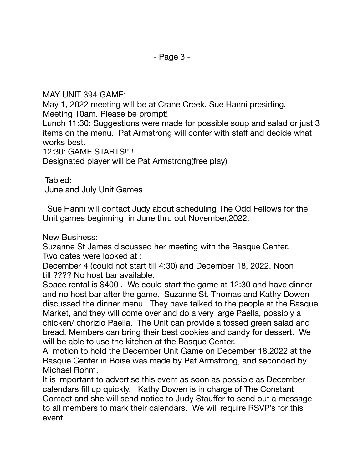MAY UNIT 394 GAME:

May 1, 2022 meeting will be at Crane Creek. Sue Hanni presiding. Meeting 10am. Please be prompt!

Lunch 11:30: Suggestions were made for possible soup and salad or just 3 items on the menu. Pat Armstrong will confer with staff and decide what works best.

12:30: GAME STARTS!!!!

Designated player will be Pat Armstrong(free play)

Tabled:

June and July Unit Games

 Sue Hanni will contact Judy about scheduling The Odd Fellows for the Unit games beginning in June thru out November,2022.

New Business:

Suzanne St James discussed her meeting with the Basque Center. Two dates were looked at :

December 4 (could not start till 4:30) and December 18, 2022. Noon till ???? No host bar available.

Space rental is \$400 . We could start the game at 12:30 and have dinner and no host bar after the game. Suzanne St. Thomas and Kathy Dowen discussed the dinner menu. They have talked to the people at the Basque Market, and they will come over and do a very large Paella, possibly a chicken/ chorizio Paella. The Unit can provide a tossed green salad and bread. Members can bring their best cookies and candy for dessert. We will be able to use the kitchen at the Basque Center. 

A motion to hold the December Unit Game on December 18,2022 at the Basque Center in Boise was made by Pat Armstrong, and seconded by Michael Rohm.

It is important to advertise this event as soon as possible as December calendars fill up quickly. Kathy Dowen is in charge of The Constant Contact and she will send notice to Judy Stauffer to send out a message to all members to mark their calendars. We will require RSVP's for this event.